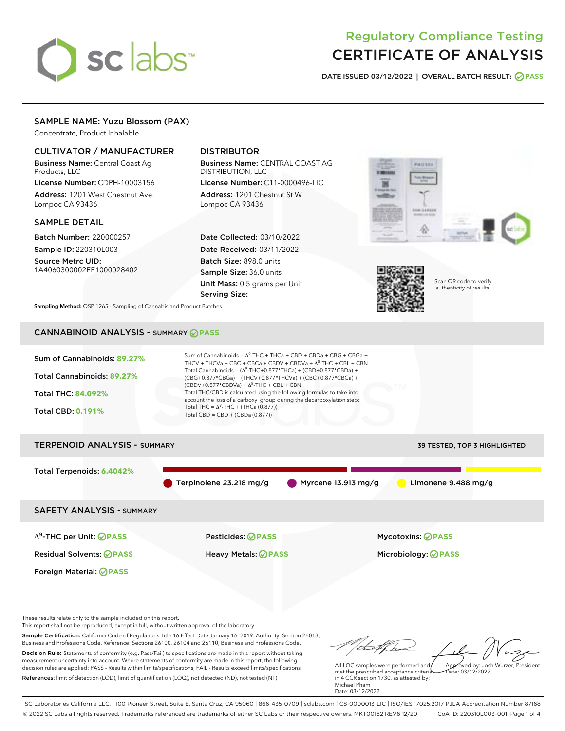# sclabs<sup>\*</sup>

# Regulatory Compliance Testing CERTIFICATE OF ANALYSIS

DATE ISSUED 03/12/2022 | OVERALL BATCH RESULT: @ PASS

# SAMPLE NAME: Yuzu Blossom (PAX)

Concentrate, Product Inhalable

# CULTIVATOR / MANUFACTURER

Business Name: Central Coast Ag Products, LLC

License Number: CDPH-10003156 Address: 1201 West Chestnut Ave. Lompoc CA 93436

#### SAMPLE DETAIL

Batch Number: 220000257 Sample ID: 220310L003

Source Metrc UID: 1A4060300002EE1000028402

# DISTRIBUTOR

Business Name: CENTRAL COAST AG DISTRIBUTION, LLC

License Number: C11-0000496-LIC Address: 1201 Chestnut St W Lompoc CA 93436

Date Collected: 03/10/2022 Date Received: 03/11/2022 Batch Size: 898.0 units Sample Size: 36.0 units Unit Mass: 0.5 grams per Unit Serving Size:





Scan QR code to verify authenticity of results.

Sampling Method: QSP 1265 - Sampling of Cannabis and Product Batches

# CANNABINOID ANALYSIS - SUMMARY **PASS**



Business and Professions Code. Reference: Sections 26100, 26104 and 26110, Business and Professions Code. Decision Rule: Statements of conformity (e.g. Pass/Fail) to specifications are made in this report without taking measurement uncertainty into account. Where statements of conformity are made in this report, the following decision rules are applied: PASS - Results within limits/specifications, FAIL - Results exceed limits/specifications. References: limit of detection (LOD), limit of quantification (LOQ), not detected (ND), not tested (NT)

All LQC samples were performed and met the prescribed acceptance criteria in 4 CCR section 1730, as attested by: Michael Pham Approved by: Josh Wurzer, President  $hat: 03/12/2022$ 

Date: 03/12/2022

SC Laboratories California LLC. | 100 Pioneer Street, Suite E, Santa Cruz, CA 95060 | 866-435-0709 | sclabs.com | C8-0000013-LIC | ISO/IES 17025:2017 PJLA Accreditation Number 87168 © 2022 SC Labs all rights reserved. Trademarks referenced are trademarks of either SC Labs or their respective owners. MKT00162 REV6 12/20 CoA ID: 220310L003-001 Page 1 of 4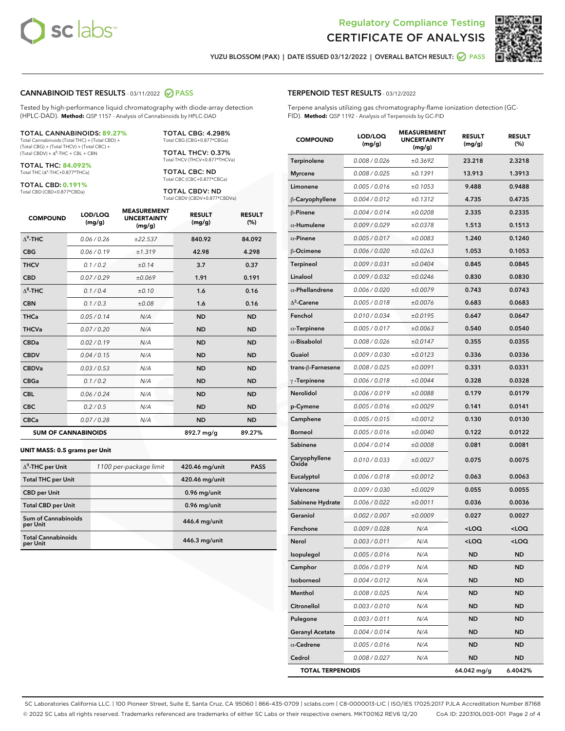

Terpene analysis utilizing gas chromatography-flame ionization detection (GC-



YUZU BLOSSOM (PAX) | DATE ISSUED 03/12/2022 | OVERALL BATCH RESULT: **○** PASS

TERPENOID TEST RESULTS - 03/12/2022

FID). **Method:** QSP 1192 - Analysis of Terpenoids by GC-FID

#### CANNABINOID TEST RESULTS - 03/11/2022 2 PASS

Tested by high-performance liquid chromatography with diode-array detection (HPLC-DAD). **Method:** QSP 1157 - Analysis of Cannabinoids by HPLC-DAD

#### TOTAL CANNABINOIDS: **89.27%**

Total Cannabinoids (Total THC) + (Total CBD) + (Total CBG) + (Total THCV) + (Total CBC) +  $(Total CBDV) +  $\Delta^8$ -THC + CBL + CBN$ 

TOTAL THC: **84.092%** Total THC (Δ<sup>9</sup> -THC+0.877\*THCa)

TOTAL CBD: **0.191%**

Total CBD (CBD+0.877\*CBDa)

TOTAL CBG: 4.298% Total CBG (CBG+0.877\*CBGa)

TOTAL THCV: 0.37% Total THCV (THCV+0.877\*THCVa)

TOTAL CBC: ND Total CBC (CBC+0.877\*CBCa)

TOTAL CBDV: ND Total CBDV (CBDV+0.877\*CBDVa)

| <b>COMPOUND</b>  | LOD/LOQ<br>(mg/g)          | <b>MEASUREMENT</b><br><b>UNCERTAINTY</b><br>(mg/g) | <b>RESULT</b><br>(mg/g) | <b>RESULT</b><br>(%) |
|------------------|----------------------------|----------------------------------------------------|-------------------------|----------------------|
| $\Lambda^9$ -THC | 0.06 / 0.26                | ±22.537                                            | 840.92                  | 84.092               |
| <b>CBG</b>       | 0.06/0.19                  | ±1.319                                             | 42.98                   | 4.298                |
| <b>THCV</b>      | 0.1 / 0.2                  | ±0.14                                              | 3.7                     | 0.37                 |
| <b>CBD</b>       | 0.07/0.29                  | ±0.069                                             | 1.91                    | 0.191                |
| $\Lambda^8$ -THC | 0.1 / 0.4                  | ±0.10                                              | 1.6                     | 0.16                 |
| <b>CBN</b>       | 0.1 / 0.3                  | ±0.08                                              | 1.6                     | 0.16                 |
| <b>THCa</b>      | 0.05/0.14                  | N/A                                                | <b>ND</b>               | <b>ND</b>            |
| <b>THCVa</b>     | 0.07/0.20                  | N/A                                                | <b>ND</b>               | <b>ND</b>            |
| <b>CBDa</b>      | 0.02/0.19                  | N/A                                                | <b>ND</b>               | <b>ND</b>            |
| <b>CBDV</b>      | 0.04 / 0.15                | N/A                                                | <b>ND</b>               | <b>ND</b>            |
| <b>CBDVa</b>     | 0.03/0.53                  | N/A                                                | <b>ND</b>               | <b>ND</b>            |
| <b>CBGa</b>      | 0.1/0.2                    | N/A                                                | <b>ND</b>               | <b>ND</b>            |
| <b>CBL</b>       | 0.06 / 0.24                | N/A                                                | <b>ND</b>               | <b>ND</b>            |
| <b>CBC</b>       | 0.2 / 0.5                  | N/A                                                | <b>ND</b>               | <b>ND</b>            |
| <b>CBCa</b>      | 0.07 / 0.28                | N/A                                                | <b>ND</b>               | <b>ND</b>            |
|                  | <b>SUM OF CANNABINOIDS</b> |                                                    | 892.7 mg/g              | 89.27%               |

#### **UNIT MASS: 0.5 grams per Unit**

| $\Delta^9$ -THC per Unit               | 1100 per-package limit | 420.46 mg/unit | <b>PASS</b> |
|----------------------------------------|------------------------|----------------|-------------|
| <b>Total THC per Unit</b>              |                        | 420.46 mg/unit |             |
| <b>CBD</b> per Unit                    |                        | $0.96$ mg/unit |             |
| <b>Total CBD per Unit</b>              |                        | 0.96 mg/unit   |             |
| <b>Sum of Cannabinoids</b><br>per Unit |                        | 446.4 mg/unit  |             |
| <b>Total Cannabinoids</b><br>per Unit  |                        | 446.3 mg/unit  |             |

| <b>COMPOUND</b>         | LOD/LOQ<br>(mg/g) | <b>MEASUREMENT</b><br><b>UNCERTAINTY</b><br>(mg/g) | <b>RESULT</b><br>(mg/g)                         | <b>RESULT</b><br>(%) |
|-------------------------|-------------------|----------------------------------------------------|-------------------------------------------------|----------------------|
| <b>Terpinolene</b>      | 0.008 / 0.026     | ±0.3692                                            | 23.218                                          | 2.3218               |
| <b>Myrcene</b>          | 0.008 / 0.025     | ±0.1391                                            | 13.913                                          | 1.3913               |
| Limonene                | 0.005 / 0.016     | ±0.1053                                            | 9.488                                           | 0.9488               |
| β-Caryophyllene         | 0.004 / 0.012     | ±0.1312                                            | 4.735                                           | 0.4735               |
| $\beta$ -Pinene         | 0.004 / 0.014     | ±0.0208                                            | 2.335                                           | 0.2335               |
| $\alpha$ -Humulene      | 0.009/0.029       | ±0.0378                                            | 1.513                                           | 0.1513               |
| $\alpha$ -Pinene        | 0.005 / 0.017     | ±0.0083                                            | 1.240                                           | 0.1240               |
| β-Ocimene               | 0.006 / 0.020     | ±0.0263                                            | 1.053                                           | 0.1053               |
| Terpineol               | 0.009 / 0.031     | ±0.0404                                            | 0.845                                           | 0.0845               |
| Linalool                | 0.009 / 0.032     | ±0.0246                                            | 0.830                                           | 0.0830               |
| $\alpha$ -Phellandrene  | 0.006 / 0.020     | ±0.0079                                            | 0.743                                           | 0.0743               |
| $\Delta^3$ -Carene      | 0.005 / 0.018     | ±0.0076                                            | 0.683                                           | 0.0683               |
| Fenchol                 | 0.010 / 0.034     | ±0.0195                                            | 0.647                                           | 0.0647               |
| $\alpha$ -Terpinene     | 0.005 / 0.017     | ±0.0063                                            | 0.540                                           | 0.0540               |
| $\alpha$ -Bisabolol     | 0.008 / 0.026     | ±0.0147                                            | 0.355                                           | 0.0355               |
| Guaiol                  | 0.009 / 0.030     | ±0.0123                                            | 0.336                                           | 0.0336               |
| trans-β-Farnesene       | 0.008 / 0.025     | ±0.0091                                            | 0.331                                           | 0.0331               |
| $\gamma$ -Terpinene     | 0.006 / 0.018     | ±0.0044                                            | 0.328                                           | 0.0328               |
| Nerolidol               | 0.006 / 0.019     | ±0.0088                                            | 0.179                                           | 0.0179               |
| p-Cymene                | 0.005 / 0.016     | ±0.0029                                            | 0.141                                           | 0.0141               |
| Camphene                | 0.005 / 0.015     | ±0.0012                                            | 0.130                                           | 0.0130               |
| <b>Borneol</b>          | 0.005 / 0.016     | ±0.0040                                            | 0.122                                           | 0.0122               |
| Sabinene                | 0.004 / 0.014     | ±0.0008                                            | 0.081                                           | 0.0081               |
| Caryophyllene<br>Oxide  | 0.010 / 0.033     | ±0.0027                                            | 0.075                                           | 0.0075               |
| Eucalyptol              | 0.006 / 0.018     | ±0.0012                                            | 0.063                                           | 0.0063               |
| Valencene               | 0.009 / 0.030     | ±0.0029                                            | 0.055                                           | 0.0055               |
| Sabinene Hydrate        | 0.006 / 0.022     | ±0.0011                                            | 0.036                                           | 0.0036               |
| Geraniol                | 0.002 / 0.007     | ±0.0009                                            | 0.027                                           | 0.0027               |
| Fenchone                | 0.009 / 0.028     | N/A                                                | <loq< th=""><th><loq< th=""></loq<></th></loq<> | <loq< th=""></loq<>  |
| Nerol                   | 0.003 / 0.011     | N/A                                                | $\sim$ 00                                       | $\sim$ 0.0           |
| Isopulegol              | 0.005 / 0.016     | N/A                                                | ND                                              | ND                   |
| Camphor                 | 0.006 / 0.019     | N/A                                                | <b>ND</b>                                       | ND                   |
| Isoborneol              | 0.004 / 0.012     | N/A                                                | ND                                              | ND                   |
| Menthol                 | 0.008 / 0.025     | N/A                                                | ND                                              | ND                   |
| Citronellol             | 0.003 / 0.010     | N/A                                                | ND                                              | ND                   |
| Pulegone                | 0.003 / 0.011     | N/A                                                | ND                                              | ND                   |
| <b>Geranyl Acetate</b>  | 0.004 / 0.014     | N/A                                                | ND                                              | ND                   |
| $\alpha$ -Cedrene       | 0.005 / 0.016     | N/A                                                | ND                                              | ND                   |
| Cedrol                  | 0.008 / 0.027     | N/A                                                | <b>ND</b>                                       | ND                   |
| <b>TOTAL TERPENOIDS</b> |                   |                                                    | 64.042 mg/g                                     | 6.4042%              |

SC Laboratories California LLC. | 100 Pioneer Street, Suite E, Santa Cruz, CA 95060 | 866-435-0709 | sclabs.com | C8-0000013-LIC | ISO/IES 17025:2017 PJLA Accreditation Number 87168 © 2022 SC Labs all rights reserved. Trademarks referenced are trademarks of either SC Labs or their respective owners. MKT00162 REV6 12/20 CoA ID: 220310L003-001 Page 2 of 4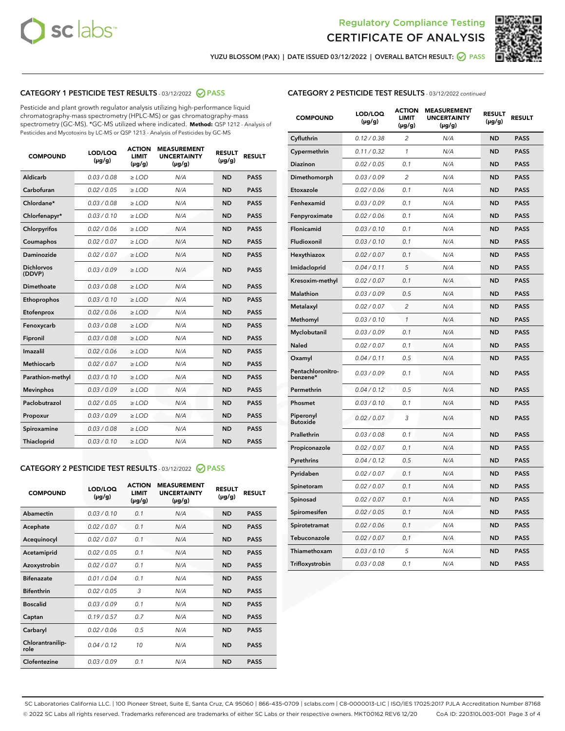



YUZU BLOSSOM (PAX) | DATE ISSUED 03/12/2022 | OVERALL BATCH RESULT:  $\bigcirc$  PASS

# CATEGORY 1 PESTICIDE TEST RESULTS - 03/12/2022 2 PASS

Pesticide and plant growth regulator analysis utilizing high-performance liquid chromatography-mass spectrometry (HPLC-MS) or gas chromatography-mass spectrometry (GC-MS). \*GC-MS utilized where indicated. **Method:** QSP 1212 - Analysis of Pesticides and Mycotoxins by LC-MS or QSP 1213 - Analysis of Pesticides by GC-MS

| $(\mu g/g)$<br>$(\mu g/g)$                            | $(\mu g/g)$ | $(\mu g/g)$ | <b>RESULT</b> |
|-------------------------------------------------------|-------------|-------------|---------------|
| Aldicarb<br>0.03 / 0.08<br>$\geq$ LOD                 | N/A         | <b>ND</b>   | <b>PASS</b>   |
| Carbofuran<br>0.02 / 0.05<br>$\ge$ LOD                | N/A         | <b>ND</b>   | <b>PASS</b>   |
| Chlordane*<br>0.03/0.08<br>$>$ LOD                    | N/A         | <b>ND</b>   | <b>PASS</b>   |
| 0.03/0.10<br>Chlorfenapyr*<br>$>$ LOD                 | N/A         | <b>ND</b>   | <b>PASS</b>   |
| 0.02/0.06<br>$\ge$ LOD<br>Chlorpyrifos                | N/A         | <b>ND</b>   | <b>PASS</b>   |
| 0.02 / 0.07<br>Coumaphos<br>$\ge$ LOD                 | N/A         | <b>ND</b>   | <b>PASS</b>   |
| <b>Daminozide</b><br>0.02 / 0.07<br>$\ge$ LOD         | N/A         | <b>ND</b>   | <b>PASS</b>   |
| <b>Dichlorvos</b><br>0.03/0.09<br>$\ge$ LOD<br>(DDVP) | N/A         | <b>ND</b>   | <b>PASS</b>   |
| 0.03/0.08<br>Dimethoate<br>$>$ LOD                    | N/A         | <b>ND</b>   | <b>PASS</b>   |
| Ethoprophos<br>0.03/0.10<br>$\ge$ LOD                 | N/A         | <b>ND</b>   | <b>PASS</b>   |
| 0.02 / 0.06<br>Etofenprox<br>$>$ LOD                  | N/A         | <b>ND</b>   | <b>PASS</b>   |
| 0.03/0.08<br>Fenoxycarb<br>$>$ LOD                    | N/A         | <b>ND</b>   | <b>PASS</b>   |
| 0.03/0.08<br>$>$ LOD<br>Fipronil                      | N/A         | <b>ND</b>   | <b>PASS</b>   |
| Imazalil<br>0.02 / 0.06<br>$\ge$ LOD                  | N/A         | <b>ND</b>   | <b>PASS</b>   |
| <b>Methiocarb</b><br>0.02 / 0.07<br>$\ge$ LOD         | N/A         | <b>ND</b>   | <b>PASS</b>   |
| Parathion-methyl<br>0.03/0.10<br>$\ge$ LOD            | N/A         | <b>ND</b>   | <b>PASS</b>   |
| 0.03/0.09<br><b>Mevinphos</b><br>$\ge$ LOD            | N/A         | <b>ND</b>   | <b>PASS</b>   |
| Paclobutrazol<br>0.02 / 0.05<br>$\ge$ LOD             | N/A         | <b>ND</b>   | <b>PASS</b>   |
| 0.03/0.09<br>$\ge$ LOD<br>Propoxur                    | N/A         | <b>ND</b>   | <b>PASS</b>   |
| 0.03 / 0.08<br>Spiroxamine<br>$\ge$ LOD               | N/A         | <b>ND</b>   | <b>PASS</b>   |
| Thiacloprid<br>0.03/0.10<br>$>$ LOD                   | N/A         | <b>ND</b>   | <b>PASS</b>   |

### CATEGORY 2 PESTICIDE TEST RESULTS - 03/12/2022 @ PASS

| <b>COMPOUND</b>          | LOD/LOQ<br>$(\mu g/g)$ | <b>ACTION</b><br><b>LIMIT</b><br>$(\mu g/g)$ | <b>MEASUREMENT</b><br><b>UNCERTAINTY</b><br>$(\mu g/g)$ | <b>RESULT</b><br>$(\mu g/g)$ | <b>RESULT</b> |
|--------------------------|------------------------|----------------------------------------------|---------------------------------------------------------|------------------------------|---------------|
| Abamectin                | 0.03/0.10              | 0.1                                          | N/A                                                     | <b>ND</b>                    | <b>PASS</b>   |
| Acephate                 | 0.02/0.07              | 0.1                                          | N/A                                                     | <b>ND</b>                    | <b>PASS</b>   |
| Acequinocyl              | 0.02/0.07              | 0.1                                          | N/A                                                     | <b>ND</b>                    | <b>PASS</b>   |
| Acetamiprid              | 0.02/0.05              | 0.1                                          | N/A                                                     | <b>ND</b>                    | <b>PASS</b>   |
| Azoxystrobin             | 0.02 / 0.07            | 0.1                                          | N/A                                                     | <b>ND</b>                    | <b>PASS</b>   |
| <b>Bifenazate</b>        | 0.01/0.04              | 0.1                                          | N/A                                                     | <b>ND</b>                    | <b>PASS</b>   |
| <b>Bifenthrin</b>        | 0.02 / 0.05            | 3                                            | N/A                                                     | <b>ND</b>                    | <b>PASS</b>   |
| <b>Boscalid</b>          | 0.03/0.09              | 0.1                                          | N/A                                                     | <b>ND</b>                    | <b>PASS</b>   |
| Captan                   | 0.19/0.57              | 0.7                                          | N/A                                                     | <b>ND</b>                    | <b>PASS</b>   |
| Carbaryl                 | 0.02/0.06              | 0.5                                          | N/A                                                     | <b>ND</b>                    | <b>PASS</b>   |
| Chlorantranilip-<br>role | 0.04/0.12              | 10                                           | N/A                                                     | <b>ND</b>                    | <b>PASS</b>   |
| Clofentezine             | 0.03/0.09              | 0.1                                          | N/A                                                     | <b>ND</b>                    | <b>PASS</b>   |

#### CATEGORY 2 PESTICIDE TEST RESULTS - 03/12/2022 continued

| <b>COMPOUND</b>               | LOD/LOQ<br>(µg/g) | <b>ACTION</b><br><b>LIMIT</b><br>(µg/g) | <b>MEASUREMENT</b><br><b>UNCERTAINTY</b><br>(µg/g) | <b>RESULT</b><br>(µg/g) | <b>RESULT</b> |
|-------------------------------|-------------------|-----------------------------------------|----------------------------------------------------|-------------------------|---------------|
| Cyfluthrin                    | 0.12 / 0.38       | $\overline{c}$                          | N/A                                                | <b>ND</b>               | <b>PASS</b>   |
| Cypermethrin                  | 0.11/0.32         | $\mathcal{I}$                           | N/A                                                | <b>ND</b>               | <b>PASS</b>   |
| <b>Diazinon</b>               | 0.02 / 0.05       | 0.1                                     | N/A                                                | <b>ND</b>               | <b>PASS</b>   |
| Dimethomorph                  | 0.03 / 0.09       | 2                                       | N/A                                                | ND                      | <b>PASS</b>   |
| Etoxazole                     | 0.02 / 0.06       | 0.1                                     | N/A                                                | <b>ND</b>               | <b>PASS</b>   |
| Fenhexamid                    | 0.03/0.09         | 0.1                                     | N/A                                                | <b>ND</b>               | <b>PASS</b>   |
| Fenpyroximate                 | 0.02 / 0.06       | 0.1                                     | N/A                                                | <b>ND</b>               | <b>PASS</b>   |
| Flonicamid                    | 0.03 / 0.10       | 0.1                                     | N/A                                                | ND                      | <b>PASS</b>   |
| Fludioxonil                   | 0.03 / 0.10       | 0.1                                     | N/A                                                | <b>ND</b>               | <b>PASS</b>   |
| Hexythiazox                   | 0.02 / 0.07       | 0.1                                     | N/A                                                | <b>ND</b>               | <b>PASS</b>   |
| Imidacloprid                  | 0.04 / 0.11       | 5                                       | N/A                                                | <b>ND</b>               | <b>PASS</b>   |
| Kresoxim-methyl               | 0.02 / 0.07       | 0.1                                     | N/A                                                | <b>ND</b>               | <b>PASS</b>   |
| <b>Malathion</b>              | 0.03 / 0.09       | 0.5                                     | N/A                                                | <b>ND</b>               | <b>PASS</b>   |
| Metalaxyl                     | 0.02 / 0.07       | $\overline{c}$                          | N/A                                                | <b>ND</b>               | <b>PASS</b>   |
| Methomyl                      | 0.03 / 0.10       | $\mathcal{I}$                           | N/A                                                | <b>ND</b>               | <b>PASS</b>   |
| Myclobutanil                  | 0.03 / 0.09       | 0.1                                     | N/A                                                | <b>ND</b>               | <b>PASS</b>   |
| Naled                         | 0.02 / 0.07       | 0.1                                     | N/A                                                | <b>ND</b>               | <b>PASS</b>   |
| Oxamyl                        | 0.04 / 0.11       | 0.5                                     | N/A                                                | ND                      | <b>PASS</b>   |
| Pentachloronitro-<br>benzene* | 0.03/0.09         | 0.1                                     | N/A                                                | ND                      | <b>PASS</b>   |
| Permethrin                    | 0.04 / 0.12       | 0.5                                     | N/A                                                | <b>ND</b>               | <b>PASS</b>   |
| Phosmet                       | 0.03 / 0.10       | 0.1                                     | N/A                                                | <b>ND</b>               | <b>PASS</b>   |
| Piperonyl<br><b>Butoxide</b>  | 0.02 / 0.07       | 3                                       | N/A                                                | <b>ND</b>               | <b>PASS</b>   |
| Prallethrin                   | 0.03 / 0.08       | 0.1                                     | N/A                                                | <b>ND</b>               | <b>PASS</b>   |
| Propiconazole                 | 0.02 / 0.07       | 0.1                                     | N/A                                                | <b>ND</b>               | <b>PASS</b>   |
| Pyrethrins                    | 0.04 / 0.12       | 0.5                                     | N/A                                                | <b>ND</b>               | <b>PASS</b>   |
| Pyridaben                     | 0.02 / 0.07       | 0.1                                     | N/A                                                | ND                      | <b>PASS</b>   |
| Spinetoram                    | 0.02 / 0.07       | 0.1                                     | N/A                                                | <b>ND</b>               | <b>PASS</b>   |
| Spinosad                      | 0.02 / 0.07       | 0.1                                     | N/A                                                | <b>ND</b>               | <b>PASS</b>   |
| Spiromesifen                  | 0.02 / 0.05       | 0.1                                     | N/A                                                | <b>ND</b>               | <b>PASS</b>   |
| Spirotetramat                 | 0.02 / 0.06       | 0.1                                     | N/A                                                | ND                      | <b>PASS</b>   |
| Tebuconazole                  | 0.02 / 0.07       | 0.1                                     | N/A                                                | <b>ND</b>               | <b>PASS</b>   |
| Thiamethoxam                  | 0.03 / 0.10       | 5                                       | N/A                                                | <b>ND</b>               | <b>PASS</b>   |
| Trifloxystrobin               | 0.03 / 0.08       | 0.1                                     | N/A                                                | <b>ND</b>               | <b>PASS</b>   |

SC Laboratories California LLC. | 100 Pioneer Street, Suite E, Santa Cruz, CA 95060 | 866-435-0709 | sclabs.com | C8-0000013-LIC | ISO/IES 17025:2017 PJLA Accreditation Number 87168 © 2022 SC Labs all rights reserved. Trademarks referenced are trademarks of either SC Labs or their respective owners. MKT00162 REV6 12/20 CoA ID: 220310L003-001 Page 3 of 4